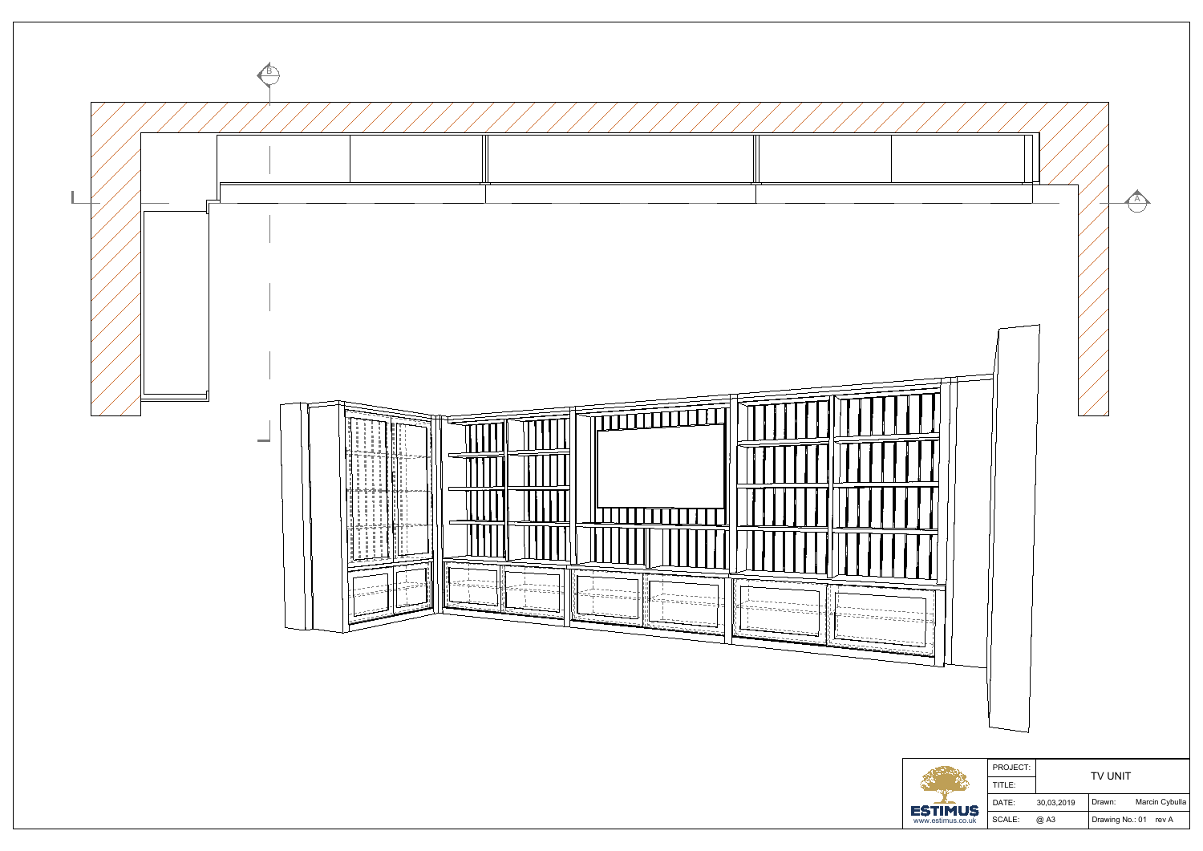